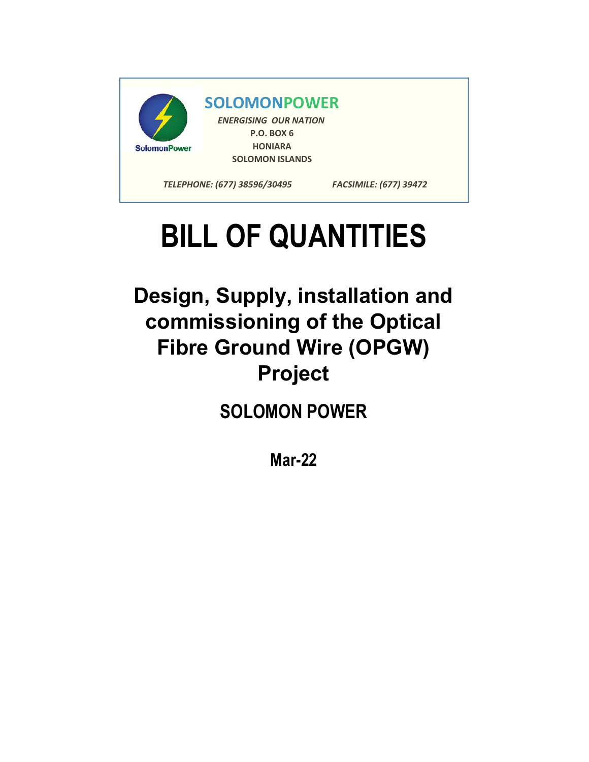

## BILL OF QUANTITIES

Design, Supply, installation and commissioning of the Optical Fibre Ground Wire (OPGW) Project

SOLOMON POWER

Mar-22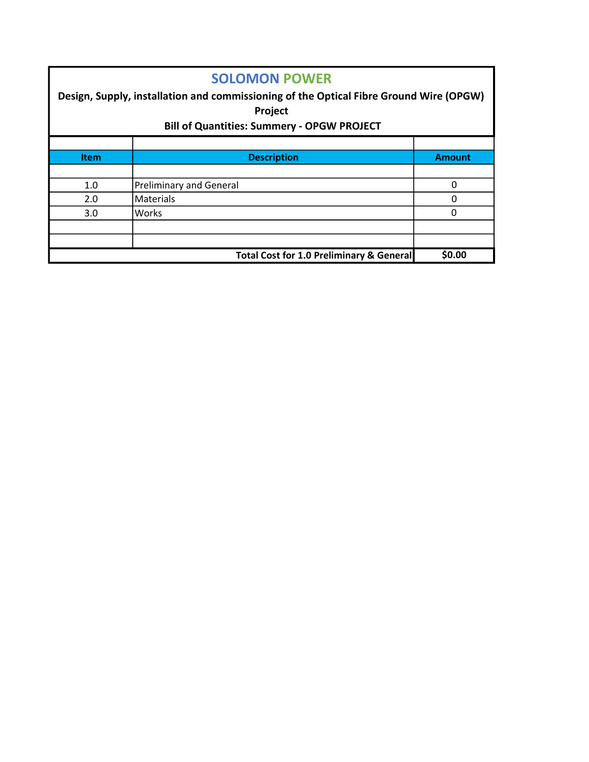| <b>SOLOMON POWER</b><br>Design, Supply, installation and commissioning of the Optical Fibre Ground Wire (OPGW)<br><b>Project</b><br><b>Bill of Quantities: Summery - OPGW PROJECT</b> |                                |               |  |  |  |  |
|---------------------------------------------------------------------------------------------------------------------------------------------------------------------------------------|--------------------------------|---------------|--|--|--|--|
| <b>Item</b>                                                                                                                                                                           | <b>Description</b>             | <b>Amount</b> |  |  |  |  |
|                                                                                                                                                                                       |                                |               |  |  |  |  |
| 1.0                                                                                                                                                                                   | <b>Preliminary and General</b> | $\Omega$      |  |  |  |  |
| 2.0                                                                                                                                                                                   | Materials                      | 0             |  |  |  |  |
| 3.0                                                                                                                                                                                   | Works                          | $\Omega$      |  |  |  |  |
|                                                                                                                                                                                       |                                |               |  |  |  |  |
|                                                                                                                                                                                       |                                |               |  |  |  |  |
| \$0.00<br>Total Cost for 1.0 Preliminary & General                                                                                                                                    |                                |               |  |  |  |  |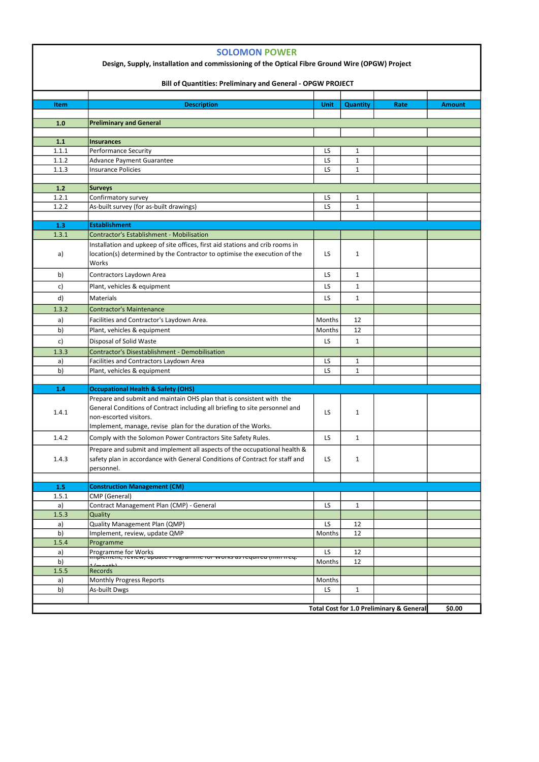| ر.ر. ۱                                   | incluius.                |        |  |  |  |
|------------------------------------------|--------------------------|--------|--|--|--|
| al                                       | Monthly Progress Reports | Months |  |  |  |
| b)                                       | As-built Dwgs            | ◡      |  |  |  |
|                                          |                          |        |  |  |  |
| Total Cost for 1.0 Preliminary & General |                          |        |  |  |  |

|                | <b>SOLOMON POWER</b><br>Design, Supply, installation and commissioning of the Optical Fibre Ground Wire (OPGW) Project<br><b>Bill of Quantities: Preliminary and General - OPGW PROJECT</b>                                                    |           |                 |      |               |  |  |
|----------------|------------------------------------------------------------------------------------------------------------------------------------------------------------------------------------------------------------------------------------------------|-----------|-----------------|------|---------------|--|--|
| Item           | <b>Description</b>                                                                                                                                                                                                                             | Unit      | <b>Quantity</b> | Rate | <b>Amount</b> |  |  |
| 1.0            | <b>Preliminary and General</b>                                                                                                                                                                                                                 |           |                 |      |               |  |  |
|                |                                                                                                                                                                                                                                                |           |                 |      |               |  |  |
| $1.1$          | <b>Insurances</b>                                                                                                                                                                                                                              |           |                 |      |               |  |  |
| 1.1.1          | <b>Performance Security</b>                                                                                                                                                                                                                    | LS.       | $\mathbf{1}$    |      |               |  |  |
| 1.1.2          | <b>Advance Payment Guarantee</b>                                                                                                                                                                                                               | LS.       | $\mathbf{1}$    |      |               |  |  |
| 1.1.3          | <b>Insurance Policies</b>                                                                                                                                                                                                                      | LS        | $\mathbf{1}$    |      |               |  |  |
|                |                                                                                                                                                                                                                                                |           |                 |      |               |  |  |
| $1.2$<br>1.2.1 | <b>Surveys</b><br>Confirmatory survey                                                                                                                                                                                                          | LS.       | $\mathbf{1}$    |      |               |  |  |
| 1.2.2          | As-built survey (for as-built drawings)                                                                                                                                                                                                        | LS.       | $\mathbf{1}$    |      |               |  |  |
|                |                                                                                                                                                                                                                                                |           |                 |      |               |  |  |
| 1.3            | <b>Establishment</b>                                                                                                                                                                                                                           |           |                 |      |               |  |  |
| 1.3.1          | <b>Contractor's Establishment - Mobilisation</b>                                                                                                                                                                                               |           |                 |      |               |  |  |
| a)             | Installation and upkeep of site offices, first aid stations and crib rooms in<br>location(s) determined by the Contractor to optimise the execution of the<br>Works                                                                            | LS.       | $\mathbf{1}$    |      |               |  |  |
| b)             | Contractors Laydown Area                                                                                                                                                                                                                       | LS.       | 1               |      |               |  |  |
| $\mathsf{c}$   | Plant, vehicles & equipment                                                                                                                                                                                                                    | LS.       | $\mathbf{1}$    |      |               |  |  |
| d)             | <b>Materials</b>                                                                                                                                                                                                                               | LS.       | $\mathbf{1}$    |      |               |  |  |
| 1.3.2          | <b>Contractor's Maintenance</b>                                                                                                                                                                                                                |           |                 |      |               |  |  |
| a)             | Facilities and Contractor's Laydown Area.                                                                                                                                                                                                      | Months    | 12              |      |               |  |  |
| b)             | Plant, vehicles & equipment                                                                                                                                                                                                                    | Months    | 12              |      |               |  |  |
| c)             | Disposal of Solid Waste                                                                                                                                                                                                                        | LS.       | $\mathbf{1}$    |      |               |  |  |
|                |                                                                                                                                                                                                                                                |           |                 |      |               |  |  |
| 1.3.3<br>a)    | <b>Contractor's Disestablishment - Demobilisation</b><br>Facilities and Contractors Laydown Area                                                                                                                                               | LS.       | $\mathbf{1}$    |      |               |  |  |
| b)             | Plant, vehicles & equipment                                                                                                                                                                                                                    | LS.       | $\mathbf{1}$    |      |               |  |  |
|                |                                                                                                                                                                                                                                                |           |                 |      |               |  |  |
| 1.4            | <b>Occupational Health &amp; Safety (OHS)</b>                                                                                                                                                                                                  |           |                 |      |               |  |  |
| 1.4.1          | Prepare and submit and maintain OHS plan that is consistent with the<br>General Conditions of Contract including all briefing to site personnel and<br>non-escorted visitors.<br>Implement, manage, revise plan for the duration of the Works. | <b>LS</b> | $\mathbf{1}$    |      |               |  |  |
| 1.4.2          | Comply with the Solomon Power Contractors Site Safety Rules.                                                                                                                                                                                   | LS.       | $\mathbf{1}$    |      |               |  |  |
| 1.4.3          | Prepare and submit and implement all aspects of the occupational health &<br>safety plan in accordance with General Conditions of Contract for staff and<br>personnel.                                                                         | LS.       | 1               |      |               |  |  |
|                |                                                                                                                                                                                                                                                |           |                 |      |               |  |  |
| 1.5<br>1.5.1   | <b>Construction Management (CM)</b><br>CMP (General)                                                                                                                                                                                           |           |                 |      |               |  |  |
| a)             | Contract Management Plan (CMP) - General                                                                                                                                                                                                       | LS        | $\mathbf{1}$    |      |               |  |  |
| 1.5.3          | Quality                                                                                                                                                                                                                                        |           |                 |      |               |  |  |
| a)             | <b>Quality Management Plan (QMP)</b>                                                                                                                                                                                                           | LS.       | 12              |      |               |  |  |
| b)             | Implement, review, update QMP                                                                                                                                                                                                                  | Months    | 12              |      |               |  |  |
| 1.5.4          | Programme                                                                                                                                                                                                                                      |           |                 |      |               |  |  |
| a)             | Programme for Works<br><del>miplement, review, upuate Frogramme for works as required (min freq.</del>                                                                                                                                         | LS.       | 12              |      |               |  |  |
| b)             |                                                                                                                                                                                                                                                | Months    | 12              |      |               |  |  |
| 1.5.5          | Records                                                                                                                                                                                                                                        |           |                 |      |               |  |  |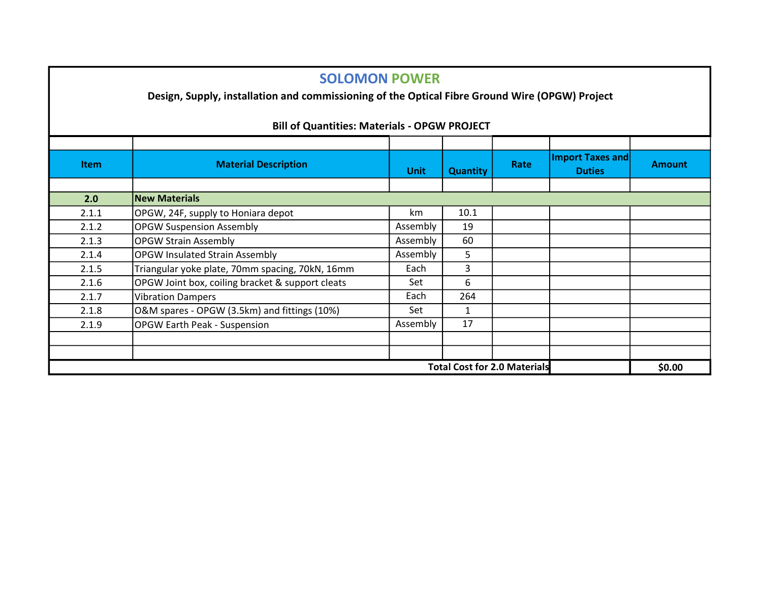## SOLOMON POWER

Design, Supply, installation and commissioning of the Optical Fibre Ground Wire (OPGW) Project

| <b>Item</b>                         | <b>Material Description</b>                      | <b>Unit</b> | <b>Quantity</b> | Rate | Import Taxes and<br><b>Duties</b> | <b>Amount</b> |  |  |
|-------------------------------------|--------------------------------------------------|-------------|-----------------|------|-----------------------------------|---------------|--|--|
|                                     |                                                  |             |                 |      |                                   |               |  |  |
| 2.0                                 | <b>New Materials</b>                             |             |                 |      |                                   |               |  |  |
| 2.1.1                               | OPGW, 24F, supply to Honiara depot               | km          | 10.1            |      |                                   |               |  |  |
| 2.1.2                               | <b>OPGW Suspension Assembly</b>                  | Assembly    | 19              |      |                                   |               |  |  |
| 2.1.3                               | <b>OPGW Strain Assembly</b>                      | Assembly    | 60              |      |                                   |               |  |  |
| 2.1.4                               | <b>OPGW Insulated Strain Assembly</b>            | Assembly    | 5               |      |                                   |               |  |  |
| 2.1.5                               | Triangular yoke plate, 70mm spacing, 70kN, 16mm  | Each        | 3               |      |                                   |               |  |  |
| 2.1.6                               | OPGW Joint box, coiling bracket & support cleats | Set         | 6               |      |                                   |               |  |  |
| 2.1.7                               | <b>Vibration Dampers</b>                         | Each        | 264             |      |                                   |               |  |  |
| 2.1.8                               | O&M spares - OPGW (3.5km) and fittings (10%)     | Set         | 1               |      |                                   |               |  |  |
| 2.1.9                               | <b>OPGW Earth Peak - Suspension</b>              | Assembly    | 17              |      |                                   |               |  |  |
|                                     |                                                  |             |                 |      |                                   |               |  |  |
|                                     |                                                  |             |                 |      |                                   |               |  |  |
| <b>Total Cost for 2.0 Materials</b> |                                                  |             |                 |      |                                   | \$0.00        |  |  |

## Bill of Quantities: Materials - OPGW PROJECT